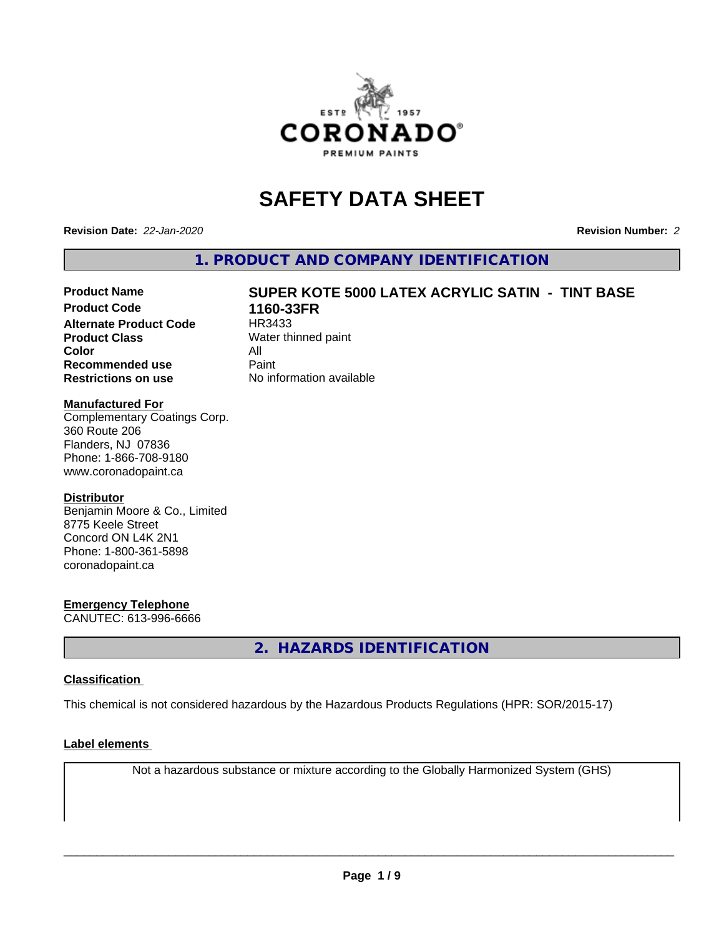

# **SAFETY DATA SHEET**

**Revision Date:** *22-Jan-2020* **Revision Number:** *2*

**1. PRODUCT AND COMPANY IDENTIFICATION**

# Product Name **SUPER KOTE 5000 LATEX ACRYLIC SATIN - TINT BASE**<br>Product Code 1160-33FR

**Alternate Product Code Product Class** Water thinned paint **Color** All<br> **Recommended use** Paint **Recommended use Restrictions on use** No information available

**1160-33FR**<br>HR3433

## **Manufactured For**

Complementary Coatings Corp. 360 Route 206 Flanders, NJ 07836 Phone: 1-866-708-9180 www.coronadopaint.ca

## **Distributor**

Benjamin Moore & Co., Limited 8775 Keele Street Concord ON L4K 2N1 Phone: 1-800-361-5898 coronadopaint.ca

## **Emergency Telephone**

CANUTEC: 613-996-6666

**2. HAZARDS IDENTIFICATION**

## **Classification**

This chemical is not considered hazardous by the Hazardous Products Regulations (HPR: SOR/2015-17)

## **Label elements**

Not a hazardous substance or mixture according to the Globally Harmonized System (GHS)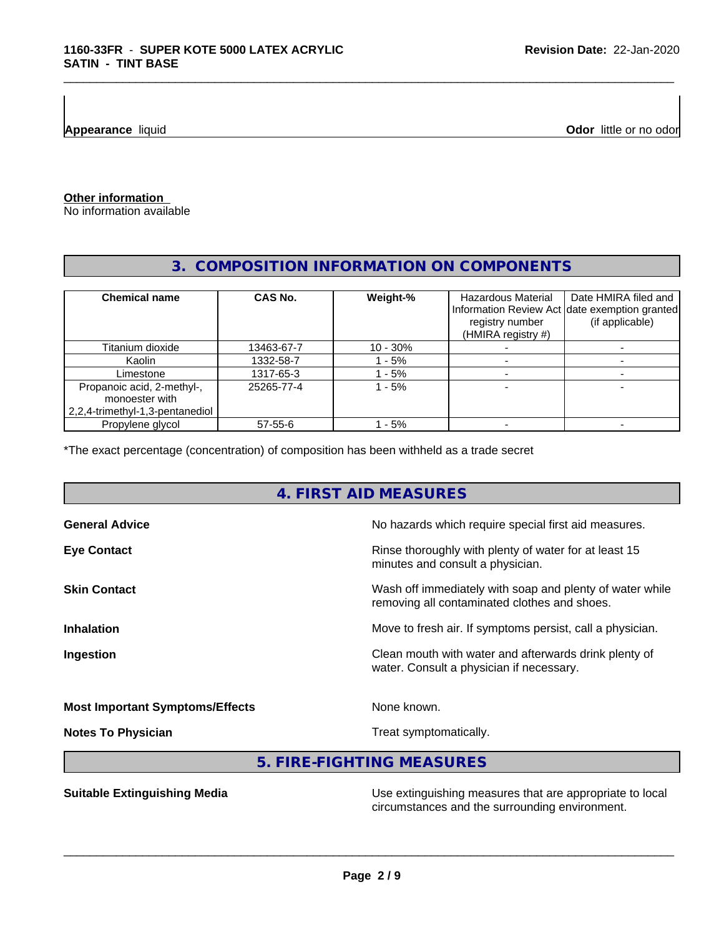**Appearance** liquid

**Odor** little or no odor

**Other information**

No information available

## **3. COMPOSITION INFORMATION ON COMPONENTS**

\_\_\_\_\_\_\_\_\_\_\_\_\_\_\_\_\_\_\_\_\_\_\_\_\_\_\_\_\_\_\_\_\_\_\_\_\_\_\_\_\_\_\_\_\_\_\_\_\_\_\_\_\_\_\_\_\_\_\_\_\_\_\_\_\_\_\_\_\_\_\_\_\_\_\_\_\_\_\_\_\_\_\_\_\_\_\_\_\_\_\_\_\_

| <b>Chemical name</b>            | CAS No.    | Weight-%   | Hazardous Material<br>registry number<br>(HMIRA registry $#$ ) | Date HMIRA filed and<br>Information Review Act date exemption granted<br>(if applicable) |
|---------------------------------|------------|------------|----------------------------------------------------------------|------------------------------------------------------------------------------------------|
| Titanium dioxide                | 13463-67-7 | $10 - 30%$ |                                                                |                                                                                          |
| Kaolin                          | 1332-58-7  | $-5%$      |                                                                |                                                                                          |
| Limestone                       | 1317-65-3  | - 5%       |                                                                |                                                                                          |
| Propanoic acid, 2-methyl-,      | 25265-77-4 | - 5%       |                                                                |                                                                                          |
| monoester with                  |            |            |                                                                |                                                                                          |
| 2,2,4-trimethyl-1,3-pentanediol |            |            |                                                                |                                                                                          |
| Propylene glycol                | 57-55-6    | - 5%       |                                                                |                                                                                          |

\*The exact percentage (concentration) of composition has been withheld as a trade secret

## **4. FIRST AID MEASURES**

| <b>General Advice</b>                  | No hazards which require special first aid measures.                                                     |
|----------------------------------------|----------------------------------------------------------------------------------------------------------|
| <b>Eye Contact</b>                     | Rinse thoroughly with plenty of water for at least 15<br>minutes and consult a physician.                |
| <b>Skin Contact</b>                    | Wash off immediately with soap and plenty of water while<br>removing all contaminated clothes and shoes. |
| <b>Inhalation</b>                      | Move to fresh air. If symptoms persist, call a physician.                                                |
| Ingestion                              | Clean mouth with water and afterwards drink plenty of<br>water. Consult a physician if necessary.        |
| <b>Most Important Symptoms/Effects</b> | None known.                                                                                              |
| <b>Notes To Physician</b>              | Treat symptomatically.                                                                                   |
|                                        |                                                                                                          |

**5. FIRE-FIGHTING MEASURES**

**Suitable Extinguishing Media** Maximum Use extinguishing measures that are appropriate to local circumstances and the surrounding environment.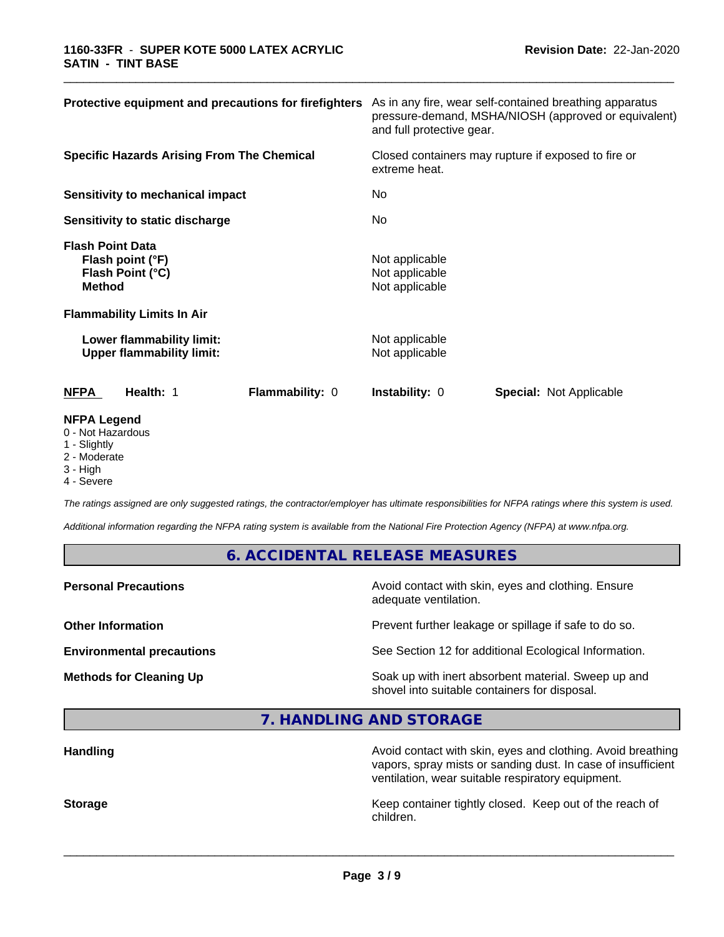| Protective equipment and precautions for firefighters                                                                 | As in any fire, wear self-contained breathing apparatus<br>pressure-demand, MSHA/NIOSH (approved or equivalent)<br>and full protective gear. |  |  |
|-----------------------------------------------------------------------------------------------------------------------|----------------------------------------------------------------------------------------------------------------------------------------------|--|--|
| <b>Specific Hazards Arising From The Chemical</b>                                                                     | Closed containers may rupture if exposed to fire or<br>extreme heat.                                                                         |  |  |
| <b>Sensitivity to mechanical impact</b>                                                                               | No.                                                                                                                                          |  |  |
| Sensitivity to static discharge                                                                                       | No                                                                                                                                           |  |  |
| <b>Flash Point Data</b><br>Flash point (°F)<br>Flash Point (°C)<br><b>Method</b><br><b>Flammability Limits In Air</b> | Not applicable<br>Not applicable<br>Not applicable                                                                                           |  |  |
| Lower flammability limit:<br><b>Upper flammability limit:</b>                                                         | Not applicable<br>Not applicable                                                                                                             |  |  |
| Health: 1<br><b>NFPA</b><br><b>Flammability: 0</b>                                                                    | <b>Special: Not Applicable</b><br><b>Instability: 0</b>                                                                                      |  |  |
| <b>NFPA Legend</b><br>0 - Not Hazardous                                                                               |                                                                                                                                              |  |  |

\_\_\_\_\_\_\_\_\_\_\_\_\_\_\_\_\_\_\_\_\_\_\_\_\_\_\_\_\_\_\_\_\_\_\_\_\_\_\_\_\_\_\_\_\_\_\_\_\_\_\_\_\_\_\_\_\_\_\_\_\_\_\_\_\_\_\_\_\_\_\_\_\_\_\_\_\_\_\_\_\_\_\_\_\_\_\_\_\_\_\_\_\_

- 1 Slightly
- 2 Moderate
- 3 High
- 4 Severe

*The ratings assigned are only suggested ratings, the contractor/employer has ultimate responsibilities for NFPA ratings where this system is used.*

*Additional information regarding the NFPA rating system is available from the National Fire Protection Agency (NFPA) at www.nfpa.org.*

## **6. ACCIDENTAL RELEASE MEASURES**

adequate ventilation.

 $\overline{\phantom{a}}$  ,  $\overline{\phantom{a}}$  ,  $\overline{\phantom{a}}$  ,  $\overline{\phantom{a}}$  ,  $\overline{\phantom{a}}$  ,  $\overline{\phantom{a}}$  ,  $\overline{\phantom{a}}$  ,  $\overline{\phantom{a}}$  ,  $\overline{\phantom{a}}$  ,  $\overline{\phantom{a}}$  ,  $\overline{\phantom{a}}$  ,  $\overline{\phantom{a}}$  ,  $\overline{\phantom{a}}$  ,  $\overline{\phantom{a}}$  ,  $\overline{\phantom{a}}$  ,  $\overline{\phantom{a}}$ 

**Personal Precautions Precautions** Avoid contact with skin, eyes and clothing. Ensure

**Other Information Discription Prevent further leakage or spillage if safe to do so.** 

**Environmental precautions** See Section 12 for additional Ecological Information.

**Methods for Cleaning Up Soak up with inert absorbent material. Sweep up and** shovel into suitable containers for disposal.

**7. HANDLING AND STORAGE**

| <b>Handling</b> | Avoid contact with skin, eyes and clothing. Avoid breathing<br>vapors, spray mists or sanding dust. In case of insufficient<br>ventilation, wear suitable respiratory equipment. |
|-----------------|----------------------------------------------------------------------------------------------------------------------------------------------------------------------------------|
| <b>Storage</b>  | Keep container tightly closed. Keep out of the reach of<br>children.                                                                                                             |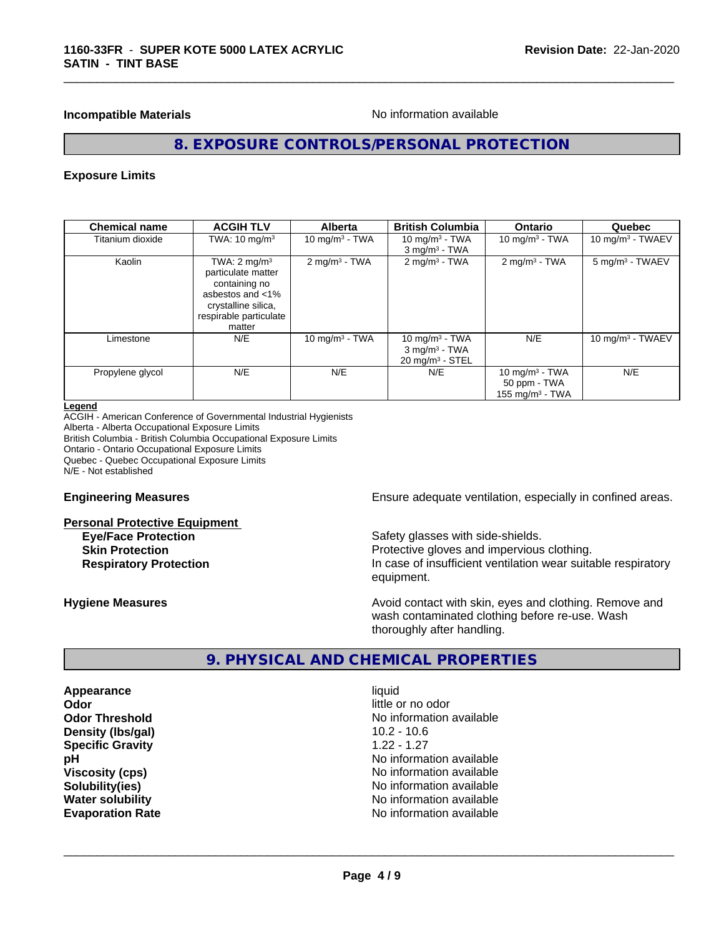### **Incompatible Materials Incompatible Materials No information available**

\_\_\_\_\_\_\_\_\_\_\_\_\_\_\_\_\_\_\_\_\_\_\_\_\_\_\_\_\_\_\_\_\_\_\_\_\_\_\_\_\_\_\_\_\_\_\_\_\_\_\_\_\_\_\_\_\_\_\_\_\_\_\_\_\_\_\_\_\_\_\_\_\_\_\_\_\_\_\_\_\_\_\_\_\_\_\_\_\_\_\_\_\_

## **8. EXPOSURE CONTROLS/PERSONAL PROTECTION**

### **Exposure Limits**

| <b>Chemical name</b> | <b>ACGIH TLV</b>                                                                                                                              | <b>Alberta</b>              | <b>British Columbia</b>                                                        | <b>Ontario</b>                                          | Quebec                      |
|----------------------|-----------------------------------------------------------------------------------------------------------------------------------------------|-----------------------------|--------------------------------------------------------------------------------|---------------------------------------------------------|-----------------------------|
| Titanium dioxide     | TWA: $10 \text{ mg/m}^3$                                                                                                                      | 10 $mq/m3$ - TWA            | 10 mg/m $3$ - TWA<br>$3$ mg/m <sup>3</sup> - TWA                               | 10 mg/m $3 - TWA$                                       | $10 \text{ mg/m}$ - TWAEV   |
| Kaolin               | TWA: $2 \text{ mg/m}^3$<br>particulate matter<br>containing no<br>asbestos and <1%<br>crystalline silica,<br>respirable particulate<br>matter | $2$ mg/m <sup>3</sup> - TWA | $2$ mg/m <sup>3</sup> - TWA                                                    | $2 \text{mq/m}^3$ - TWA                                 | 5 mg/m <sup>3</sup> - TWAEV |
| Limestone            | N/E                                                                                                                                           | 10 mg/m $3$ - TWA           | 10 mg/m $3$ - TWA<br>$3$ mg/m <sup>3</sup> - TWA<br>$20 \text{ mg/m}^3$ - STEL | N/E                                                     | 10 mg/m $3$ - TWAEV         |
| Propylene glycol     | N/E                                                                                                                                           | N/E                         | N/E                                                                            | 10 mg/m $3$ - TWA<br>50 ppm - TWA<br>155 mg/m $3$ - TWA | N/E                         |

#### **Legend**

ACGIH - American Conference of Governmental Industrial Hygienists Alberta - Alberta Occupational Exposure Limits British Columbia - British Columbia Occupational Exposure Limits Ontario - Ontario Occupational Exposure Limits Quebec - Quebec Occupational Exposure Limits N/E - Not established

#### **Personal Protective Equipment**

**Engineering Measures Ensure** Ensure adequate ventilation, especially in confined areas.

**Eye/Face Protection** Safety glasses with side-shields. **Skin Protection Protection Protective gloves and impervious clothing. Respiratory Protection In case of insufficient ventilation wear suitable respiratory** equipment.

**Hygiene Measures Avoid contact with skin, eyes and clothing. Remove and Avoid contact with skin, eyes and clothing. Remove and Avoid contact with skin, eyes and clothing. Remove and** wash contaminated clothing before re-use. Wash thoroughly after handling.

## **9. PHYSICAL AND CHEMICAL PROPERTIES**

**Appearance** liquid **Odor** little or no odor **Density (lbs/gal)** 10.2 - 10.6 **Specific Gravity** 1.22 - 1.27

**Odor Threshold** No information available **pH pH**  $\blacksquare$ **Viscosity (cps)** No information available **Solubility(ies)** No information available **Water solubility** No information available **Evaporation Rate No information available No information available**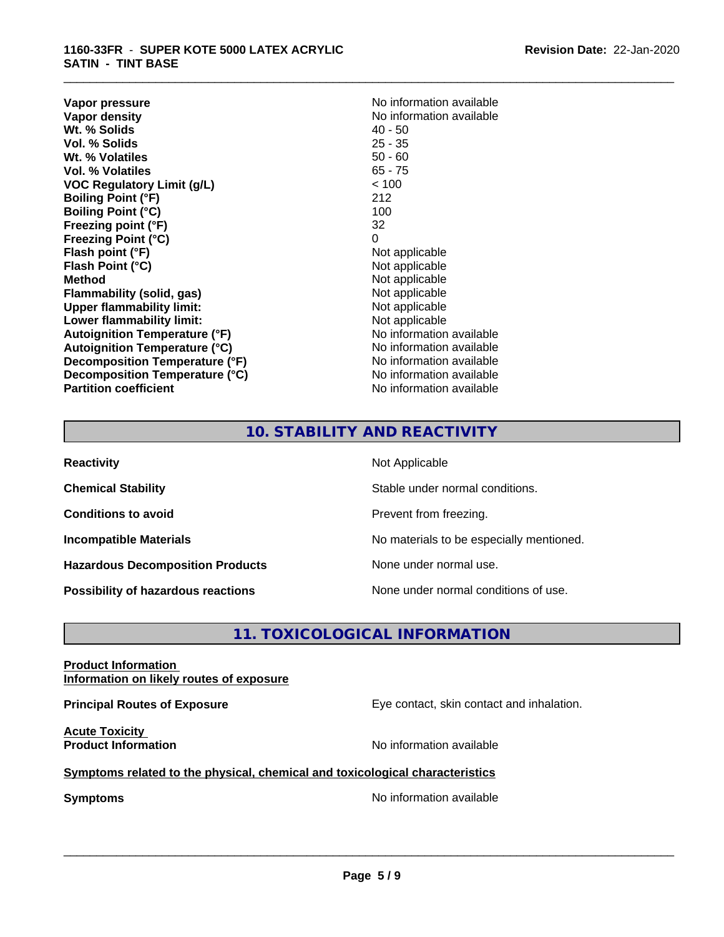**Vapor pressure** No information available<br> **Vapor density**<br> **Vapor density Wt. % Solids** 40 - 50<br> **Vol. % Solids** 25 - 35 **Vol. % Solids Wt. % Volatiles** 50 - 60 **Vol. % Volatiles** 65 - 75 **VOC Regulatory Limit (g/L)** < 100 **Boiling Point (°F)** 212 **Boiling Point (°C)** 100 **Freezing point (°F)** 32 **Freezing Point (°C)** 0 **Flash point (°F)** Not applicable **Flash Point (°C)**<br> **Method** Not applicable<br>
Not applicable<br>
Not applicable **Flammability** (solid, gas) **Upper flammability limit:**<br> **Lower flammability limit:** Not applicable Not applicable **Lower flammability limit:**<br> **Autoignition Temperature (°F)** Not applicable havailable **Autoignition Temperature (°F) Autoignition Temperature (°C)**<br> **Decomposition Temperature (°F)** No information available **Decomposition Temperature (°F) Decomposition Temperature (°C)** No information available **Partition coefficient Contract Contract Contract Contract Contract Contract Contract Contract Contract Contract Contract Contract Contract Contract Contract Contract Contract Contract Contract Contract Contract Contract** 

**No information available**<br>40 - 50 **Not applicable**<br>Not applicable

\_\_\_\_\_\_\_\_\_\_\_\_\_\_\_\_\_\_\_\_\_\_\_\_\_\_\_\_\_\_\_\_\_\_\_\_\_\_\_\_\_\_\_\_\_\_\_\_\_\_\_\_\_\_\_\_\_\_\_\_\_\_\_\_\_\_\_\_\_\_\_\_\_\_\_\_\_\_\_\_\_\_\_\_\_\_\_\_\_\_\_\_\_

## **10. STABILITY AND REACTIVITY**

| <b>Reactivity</b>                         | Not Applicable                           |
|-------------------------------------------|------------------------------------------|
| <b>Chemical Stability</b>                 | Stable under normal conditions.          |
| <b>Conditions to avoid</b>                | Prevent from freezing.                   |
| <b>Incompatible Materials</b>             | No materials to be especially mentioned. |
| <b>Hazardous Decomposition Products</b>   | None under normal use.                   |
| <b>Possibility of hazardous reactions</b> | None under normal conditions of use.     |

## **11. TOXICOLOGICAL INFORMATION**

## **Product Information Information on likely routes of exposure**

**Acute Toxicity** 

**Principal Routes of Exposure Exposure** Eye contact, skin contact and inhalation.

**Product Information Intervention** available **No** information available

## **Symptoms related to the physical, chemical and toxicological characteristics**

**Symptoms** No information available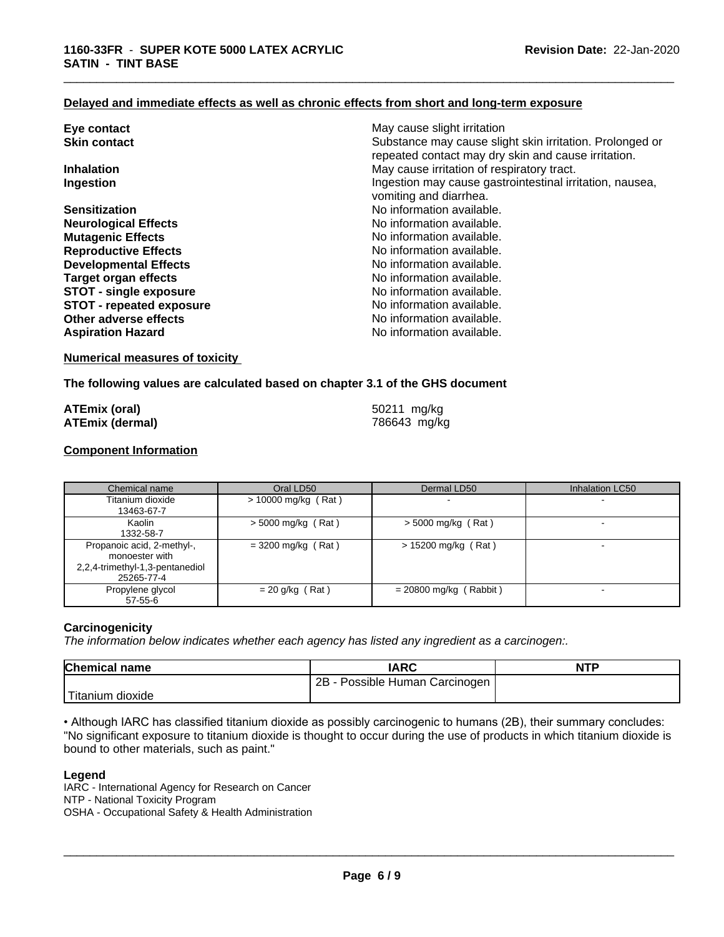## **Delayed and immediate effects as well as chronic effects from short and long-term exposure**

| Eye contact                     | May cause slight irritation                                                        |
|---------------------------------|------------------------------------------------------------------------------------|
| <b>Skin contact</b>             | Substance may cause slight skin irritation. Prolonged or                           |
|                                 | repeated contact may dry skin and cause irritation.                                |
| <b>Inhalation</b>               | May cause irritation of respiratory tract.                                         |
| Ingestion                       | Ingestion may cause gastrointestinal irritation, nausea,<br>vomiting and diarrhea. |
| <b>Sensitization</b>            | No information available.                                                          |
| <b>Neurological Effects</b>     | No information available.                                                          |
| <b>Mutagenic Effects</b>        | No information available.                                                          |
| <b>Reproductive Effects</b>     | No information available.                                                          |
| <b>Developmental Effects</b>    | No information available.                                                          |
| <b>Target organ effects</b>     | No information available.                                                          |
| <b>STOT - single exposure</b>   | No information available.                                                          |
| <b>STOT - repeated exposure</b> | No information available.                                                          |
| Other adverse effects           | No information available.                                                          |
| <b>Aspiration Hazard</b>        | No information available.                                                          |
|                                 |                                                                                    |

\_\_\_\_\_\_\_\_\_\_\_\_\_\_\_\_\_\_\_\_\_\_\_\_\_\_\_\_\_\_\_\_\_\_\_\_\_\_\_\_\_\_\_\_\_\_\_\_\_\_\_\_\_\_\_\_\_\_\_\_\_\_\_\_\_\_\_\_\_\_\_\_\_\_\_\_\_\_\_\_\_\_\_\_\_\_\_\_\_\_\_\_\_

## **Numerical measures of toxicity**

#### **The following values are calculated based on chapter 3.1 of the GHS document**

| <b>ATEmix (oral)</b>   | 50211 mg/kg  |
|------------------------|--------------|
| <b>ATEmix (dermal)</b> | 786643 mg/kg |

#### **Component Information**

| Chemical name                                                                                 | Oral LD50             | Dermal LD50              | Inhalation LC50 |
|-----------------------------------------------------------------------------------------------|-----------------------|--------------------------|-----------------|
| Titanium dioxide<br>13463-67-7                                                                | $> 10000$ mg/kg (Rat) |                          |                 |
| Kaolin<br>1332-58-7                                                                           | $>$ 5000 mg/kg (Rat)  | $>$ 5000 mg/kg (Rat)     |                 |
| Propanoic acid, 2-methyl-,<br>monoester with<br>2,2,4-trimethyl-1,3-pentanediol<br>25265-77-4 | $=$ 3200 mg/kg (Rat)  | $> 15200$ mg/kg (Rat)    |                 |
| Propylene glycol<br>57-55-6                                                                   | $= 20$ g/kg (Rat)     | $= 20800$ mg/kg (Rabbit) |                 |

#### **Carcinogenicity**

*The information below indicateswhether each agency has listed any ingredient as a carcinogen:.*

| <b>Chemical name</b> | <b>IARC</b>                     | <b>NTP</b> |
|----------------------|---------------------------------|------------|
|                      | 2B<br>Possible Human Carcinogen |            |
| Titanium<br>dioxide  |                                 |            |

• Although IARC has classified titanium dioxide as possibly carcinogenic to humans (2B), their summary concludes: "No significant exposure to titanium dioxide is thought to occur during the use of products in which titanium dioxide is bound to other materials, such as paint."

### **Legend**

IARC - International Agency for Research on Cancer NTP - National Toxicity Program OSHA - Occupational Safety & Health Administration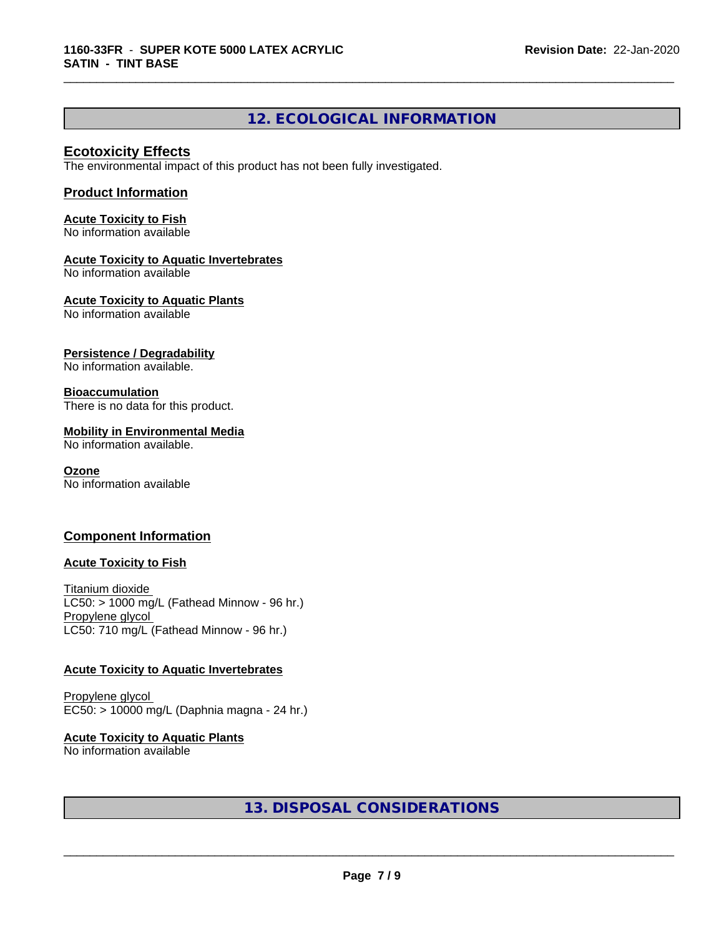## **12. ECOLOGICAL INFORMATION**

\_\_\_\_\_\_\_\_\_\_\_\_\_\_\_\_\_\_\_\_\_\_\_\_\_\_\_\_\_\_\_\_\_\_\_\_\_\_\_\_\_\_\_\_\_\_\_\_\_\_\_\_\_\_\_\_\_\_\_\_\_\_\_\_\_\_\_\_\_\_\_\_\_\_\_\_\_\_\_\_\_\_\_\_\_\_\_\_\_\_\_\_\_

## **Ecotoxicity Effects**

The environmental impact of this product has not been fully investigated.

## **Product Information**

**Acute Toxicity to Fish** No information available

#### **Acute Toxicity to Aquatic Invertebrates**

No information available

**Acute Toxicity to Aquatic Plants**

No information available

## **Persistence / Degradability**

No information available.

## **Bioaccumulation**

There is no data for this product.

## **Mobility in Environmental Media**

No information available.

#### **Ozone**

No information available

## **Component Information**

## **Acute Toxicity to Fish**

Titanium dioxide  $LC50:$  > 1000 mg/L (Fathead Minnow - 96 hr.) Propylene glycol LC50: 710 mg/L (Fathead Minnow - 96 hr.)

## **Acute Toxicity to Aquatic Invertebrates**

Propylene glycol EC50: > 10000 mg/L (Daphnia magna - 24 hr.)

#### **Acute Toxicity to Aquatic Plants** No information available

## **13. DISPOSAL CONSIDERATIONS**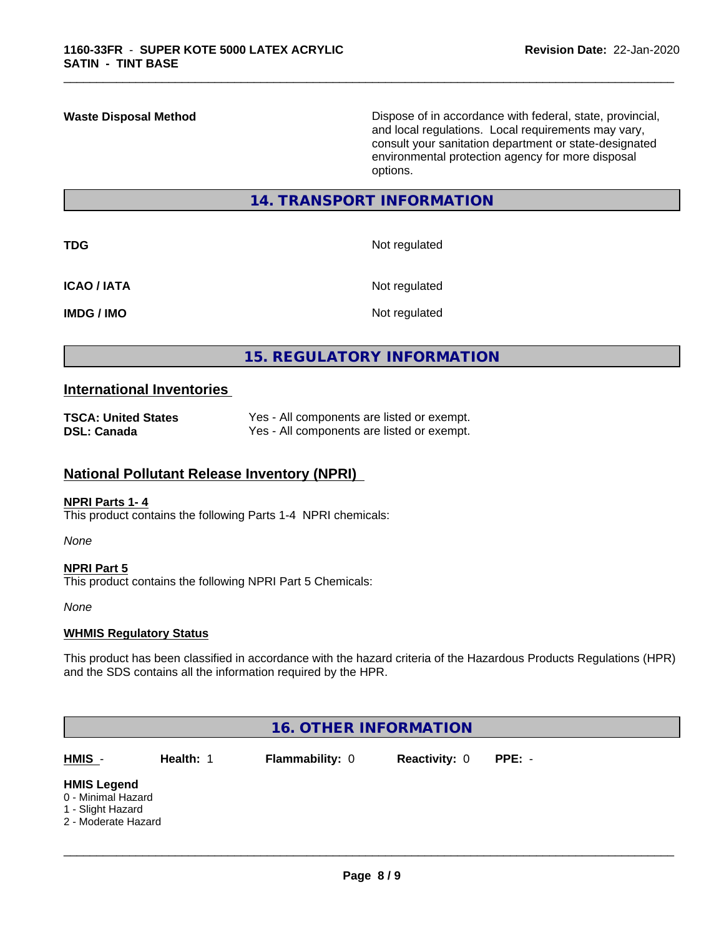**Waste Disposal Method** Dispose of in accordance with federal, state, provincial, and local regulations. Local requirements may vary, consult your sanitation department or state-designated environmental protection agency for more disposal options.

## **14. TRANSPORT INFORMATION**

\_\_\_\_\_\_\_\_\_\_\_\_\_\_\_\_\_\_\_\_\_\_\_\_\_\_\_\_\_\_\_\_\_\_\_\_\_\_\_\_\_\_\_\_\_\_\_\_\_\_\_\_\_\_\_\_\_\_\_\_\_\_\_\_\_\_\_\_\_\_\_\_\_\_\_\_\_\_\_\_\_\_\_\_\_\_\_\_\_\_\_\_\_

| <b>TDG</b>         | Not regulated |
|--------------------|---------------|
| <b>ICAO / IATA</b> | Not regulated |
| <b>IMDG / IMO</b>  | Not regulated |

## **15. REGULATORY INFORMATION**

## **International Inventories**

| <b>TSCA: United States</b> | Yes - All components are listed or exempt. |
|----------------------------|--------------------------------------------|
| <b>DSL: Canada</b>         | Yes - All components are listed or exempt. |

## **National Pollutant Release Inventory (NPRI)**

#### **NPRI Parts 1- 4**

This product contains the following Parts 1-4 NPRI chemicals:

*None*

## **NPRI Part 5** This product contains the following NPRI Part 5 Chemicals:

*None*

## **WHMIS Regulatory Status**

This product has been classified in accordance with the hazard criteria of the Hazardous Products Regulations (HPR) and the SDS contains all the information required by the HPR.

| <b>16. OTHER INFORMATION</b>                                                         |           |                        |                      |          |  |  |  |
|--------------------------------------------------------------------------------------|-----------|------------------------|----------------------|----------|--|--|--|
| HMIS -                                                                               | Health: 1 | <b>Flammability: 0</b> | <b>Reactivity: 0</b> | $PPE: -$ |  |  |  |
| <b>HMIS Legend</b><br>0 - Minimal Hazard<br>1 - Slight Hazard<br>2 - Moderate Hazard |           |                        |                      |          |  |  |  |